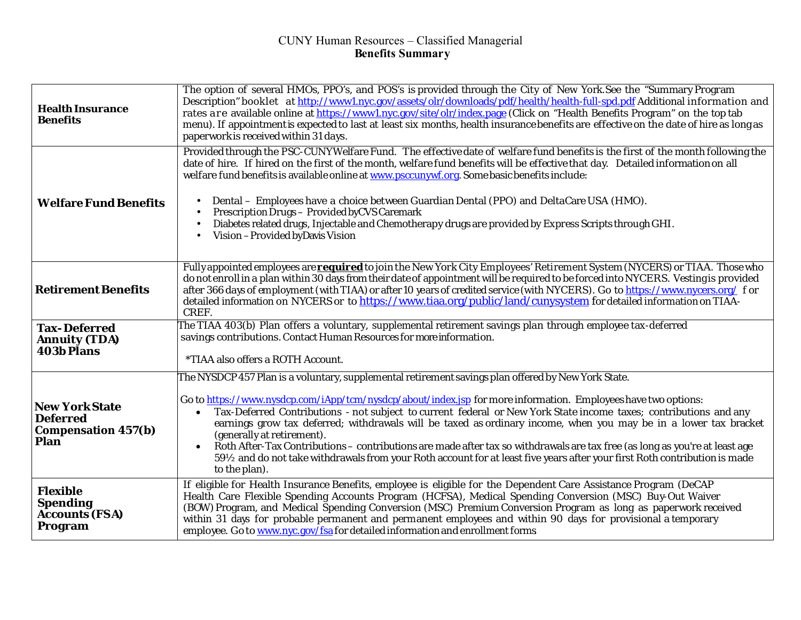## CUNY Human Resources – Classified Managerial **Benefits Summary**

| <b>Health Insurance</b><br><b>Benefits</b>                                     | The option of several HMOs, PPO's, and POS's is provided through the City of New York. See the "Summary Program<br>Description" booklet at http://www1.nyc.gov/assets/olr/downloads/pdf/health/health-full-spd.pdf Additional information and<br>rates are available online at https://www1.nyc.gov/site/olr/index.page (Click on "Health Benefits Program" on the top tab<br>menu). If appointment is expected to last at least six months, health insurance benefits are effective on the date of hire as long as<br>paperwork is received within 31 days.                                                                                                                                                                                                              |
|--------------------------------------------------------------------------------|---------------------------------------------------------------------------------------------------------------------------------------------------------------------------------------------------------------------------------------------------------------------------------------------------------------------------------------------------------------------------------------------------------------------------------------------------------------------------------------------------------------------------------------------------------------------------------------------------------------------------------------------------------------------------------------------------------------------------------------------------------------------------|
| <b>Welfare Fund Benefits</b>                                                   | Provided through the PSC-CUNYWelfare Fund. The effective date of welfare fund benefits is the first of the month following the<br>date of hire. If hired on the first of the month, welfare fund benefits will be effective that day. Detailed information on all<br>welfare fund benefits is available online at www.psccunywf.org. Some basic benefits include:<br>Dental – Employees have a choice between Guardian Dental (PPO) and DeltaCare USA (HMO).<br>Prescription Drugs - Provided by CVS Caremark<br>Diabetes related drugs, Injectable and Chemotherapy drugs are provided by Express Scripts through GHI.<br>Vision - Provided by Davis Vision                                                                                                              |
| <b>Retirement Benefits</b>                                                     | Fully appointed employees are <b>required</b> to join the New York City Employees' Retirement System (NYCERS) or TIAA. Those who<br>do not enroll in a plan within 30 days from their date of appointment will be required to be forced into NYCERS. Vesting is provided<br>after 366 days of employment (with TIAA) or after 10 years of credited service (with NYCERS). Go to https://www.nycers.org/ f or<br>detailed information on NYCERS or to https://www.tiaa.org/public/land/cunysystem for detailed information on TIAA-<br>CREF.                                                                                                                                                                                                                               |
| <b>Tax-Deferred</b><br><b>Annuity (TDA)</b><br><b>403b Plans</b>               | The TIAA 403(b) Plan offers a voluntary, supplemental retirement savings plan through employee tax-deferred<br>savings contributions. Contact Human Resources for more information.<br>*TIAA also offers a ROTH Account.                                                                                                                                                                                                                                                                                                                                                                                                                                                                                                                                                  |
| <b>New York State</b><br><b>Deferred</b><br><b>Compensation 457(b)</b><br>Plan | The NYSDCP 457 Plan is a voluntary, supplemental retirement savings plan offered by New York State.<br>Go to https://www.nysdcp.com/iApp/tcm/nysdcp/about/index.jsp for more information. Employees have two options:<br>Tax-Deferred Contributions - not subject to current federal or New York State income taxes; contributions and any<br>earnings grow tax deferred; withdrawals will be taxed as ordinary income, when you may be in a lower tax bracket<br>(generally at retirement).<br>Roth After-Tax Contributions – contributions are made after tax so withdrawals are tax free (as long as you're at least age<br>59½ and do not take withdrawals from your Roth account for at least five years after your first Roth contribution is made<br>to the plan). |
| <b>Flexible</b><br><b>Spending</b><br><b>Accounts (FSA)</b><br>Program         | If eligible for Health Insurance Benefits, employee is eligible for the Dependent Care Assistance Program (DeCAP<br>Health Care Flexible Spending Accounts Program (HCFSA), Medical Spending Conversion (MSC) Buy-Out Waiver<br>(BOW) Program, and Medical Spending Conversion (MSC) Premium Conversion Program as long as paperwork received<br>within 31 days for probable permanent and permanent employees and within 90 days for provisional a temporary<br>employee. Go to www.nyc.gov/fsa for detailed information and enrollment forms                                                                                                                                                                                                                            |